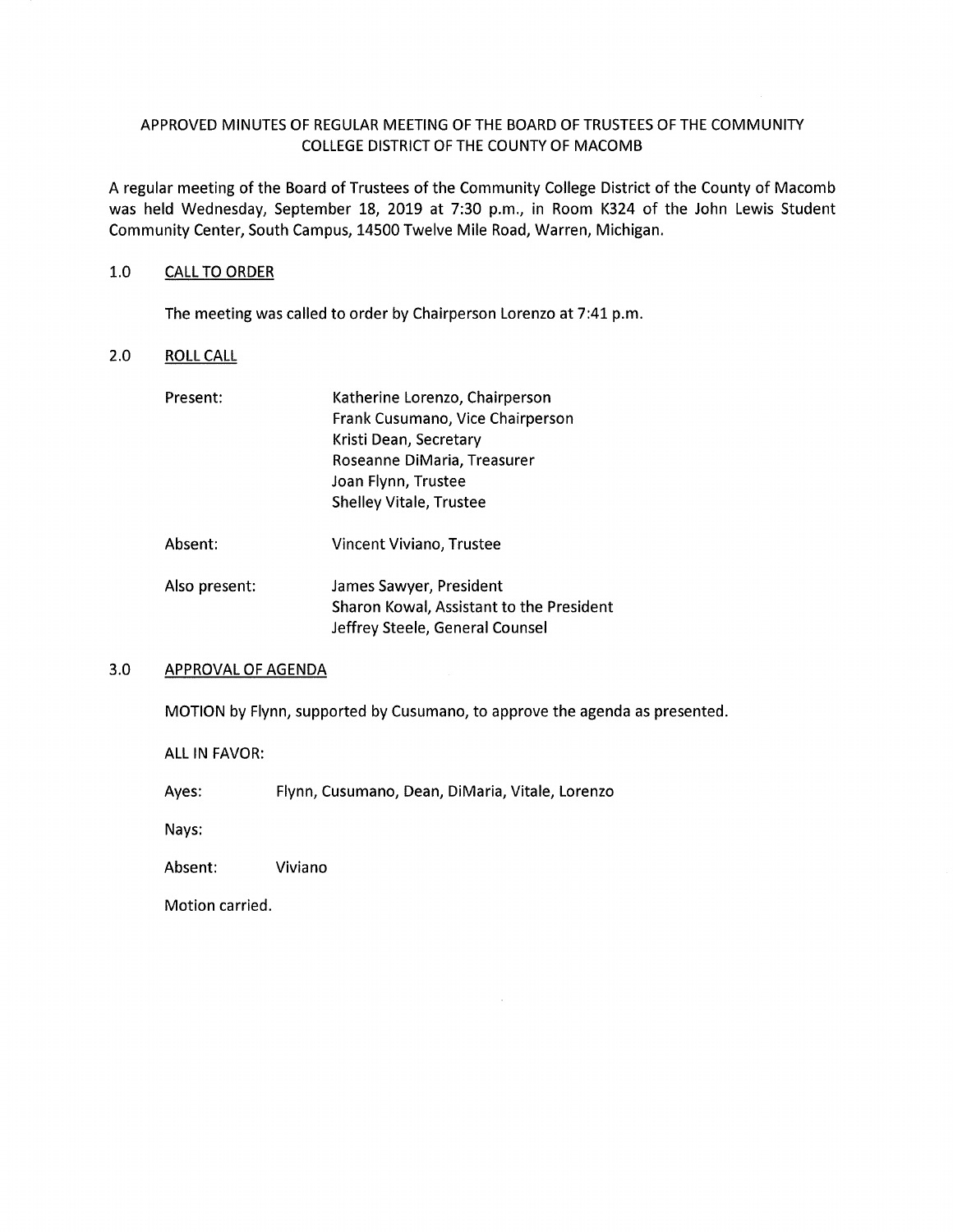# APPROVED MINUTES OF REGULAR MEETING OF THE BOARD OF TRUSTEES OF THE COMMUNITY COLLEGE DISTRICT OF THE COUNTY OF MACOMB

A regular meeting of the Board of Trustees of the Community College District of the County of Macomb was held Wednesday, September 18, 2019 at 7:30 p.m., in Room K324 of the John Lewis Student Community Center, South Campus, 14500 Twelve Mile Road, Warren, Michigan.

### 1.0 CALL TO ORDER

The meeting was called to order by Chairperson Lorenzo at 7:41 p.m.

# 2.0 ROLL CALL

| Present:      | Katherine Lorenzo, Chairperson           |
|---------------|------------------------------------------|
|               | Frank Cusumano, Vice Chairperson         |
|               | Kristi Dean, Secretary                   |
|               | Roseanne DiMaria, Treasurer              |
|               | Joan Flynn, Trustee                      |
|               | <b>Shelley Vitale, Trustee</b>           |
| Absent:       | Vincent Viviano, Trustee                 |
| Also present: | James Sawyer, President                  |
|               | Sharon Kowal, Assistant to the President |
|               | Jeffrey Steele, General Counsel          |

#### 3.0 APPROVAL OF AGENDA

MOTION by Flynn, supported by Cusumano, to approve the agenda as presented.

ALL IN FAVOR:

Ayes: Flynn, Cusumano, Dean, DiMaria, Vitale, Lorenzo

Nays:

Absent: Viviano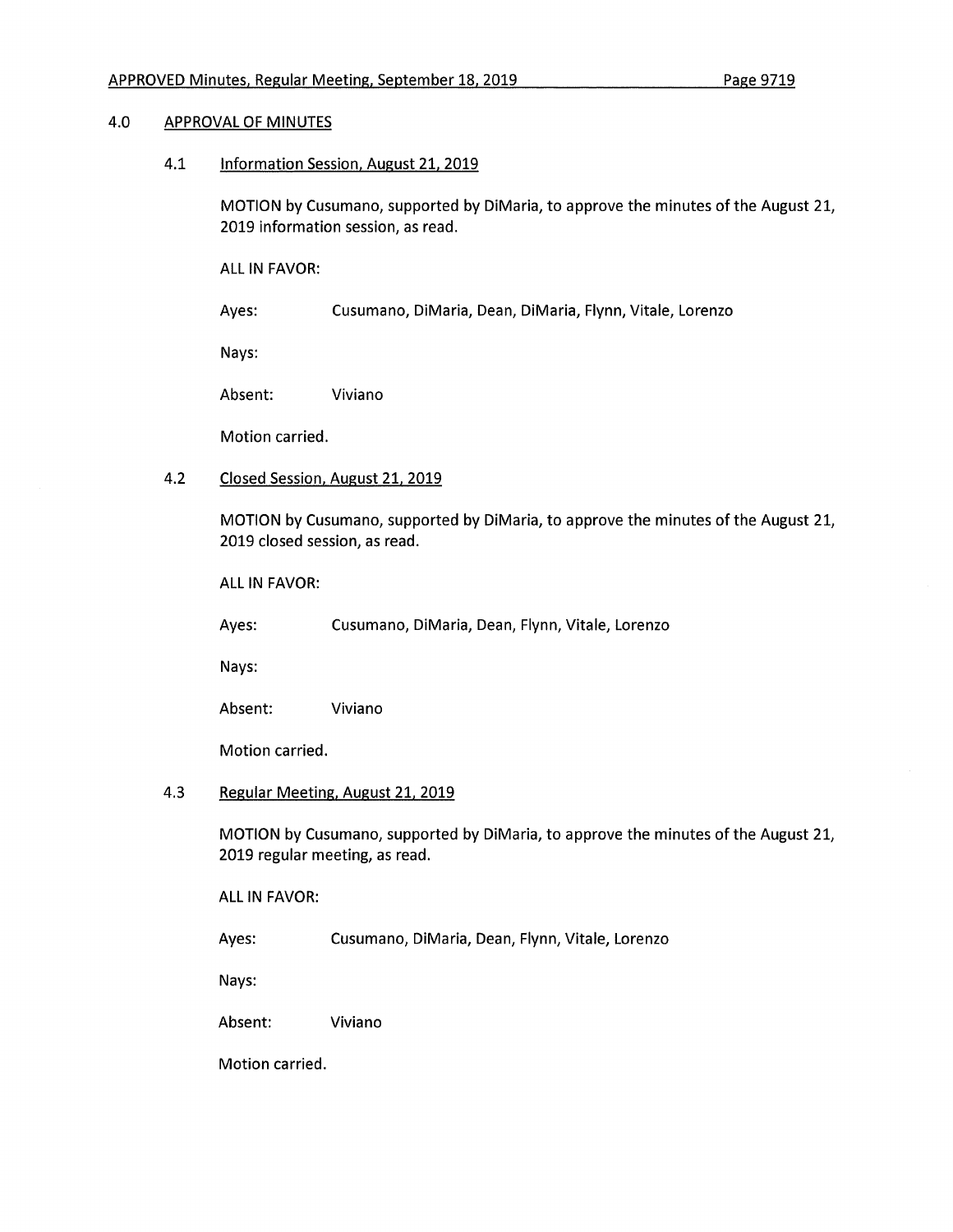## 4.0 APPROVAL OF MINUTES

4.1 Information Session. August 21, 2019

MOTION by Cusumano, supported by DiMaria, to approve the minutes of the August 21, 2019 information session, as read.

ALL IN FAVOR:

Ayes: Cusumano, DiMaria, Dean, DiMaria, Flynn, Vitale, Lorenzo

Nays:

Absent: Viviano

Motion carried.

## 4.2 Closed Session, August 21, 2019

MOTION by Cusumano, supported by DiMaria, to approve the minutes of the August 21, 2019 closed session, as read.

ALL IN FAVOR:

Ayes: Cusumano, DiMaria, Dean, Flynn, Vitale, Lorenzo

Nays:

Absent: Viviano

Motion carried.

### 4.3 Regular Meeting, August 21, 2019

MOTION by Cusumano, supported by DiMaria, to approve the minutes of the August 21, 2019 regular meeting, as read.

ALL IN FAVOR:

Ayes: Cusumano, DiMaria, Dean, Flynn, Vitale, Lorenzo

Nays:

Absent: Viviano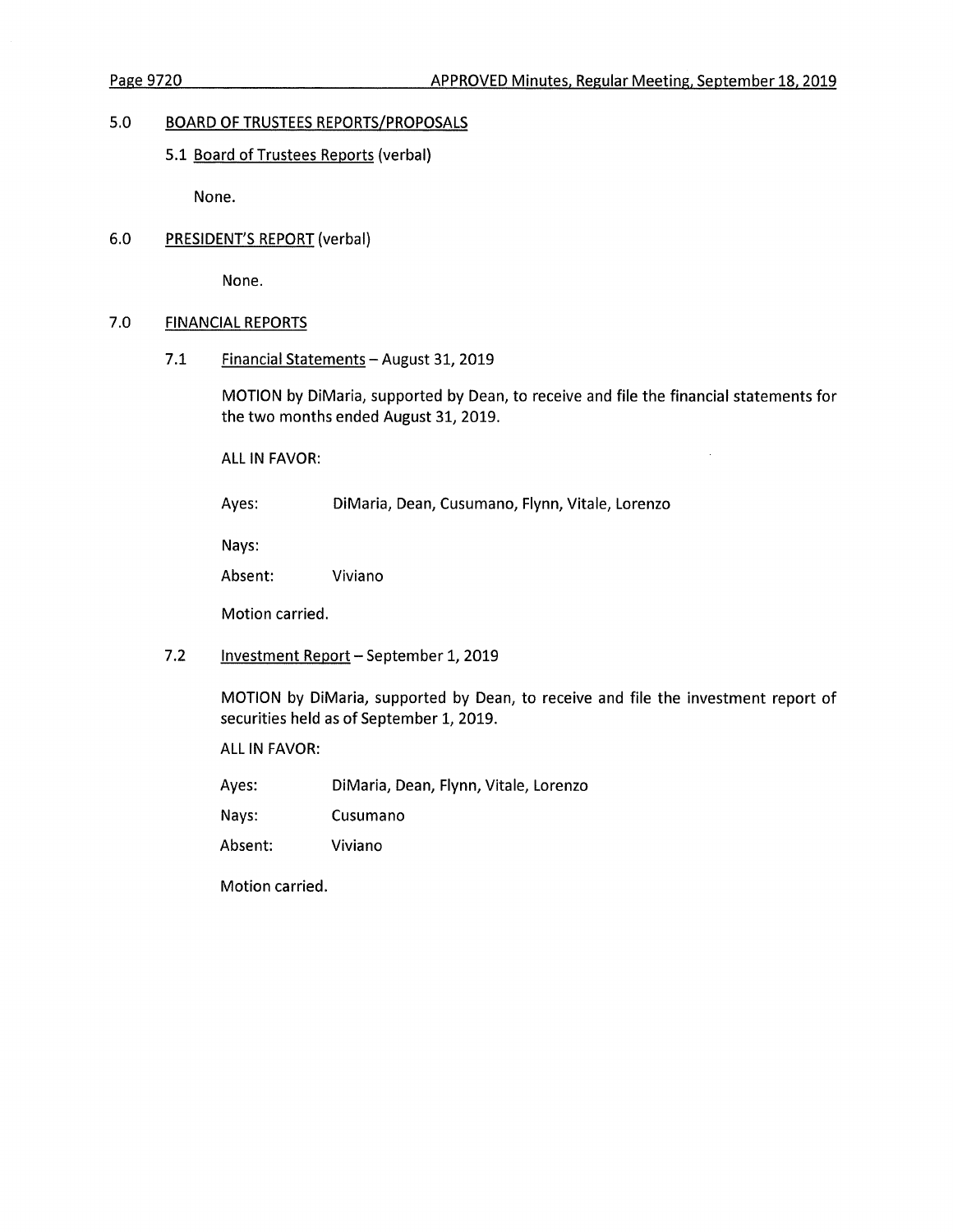$\sim$ 

## 5.0 **BOARD OF TRUSTEES REPORTS/PROPOSALS**

## 5.1 Board of Trustees Reports (verbal)

None.

## 6.0 PRESIDENT'S REPORT (verbal)

None.

## 7.0 FINANCIAL REPORTS

7.1 Financial Statements - August 31, 2019

MOTION by DiMaria, supported by Dean, to receive and file the financial statements for the two months ended August 31, 2019.

ALL IN FAVOR:

Ayes: DiMaria, Dean, Cusumano, Flynn, Vitale, Lorenzo

Nays:

Absent: Viviano

Motion carried.

7.2 Investment Report - September 1, 2019

MOTION by DiMaria, supported by Dean, to receive and file the investment report of securities held as of September 1, 2019.

ALL IN FAVOR:

Ayes: DiMaria, Dean, Flynn, Vitale, Lorenzo

Nays: Cusumano

Absent: Viviano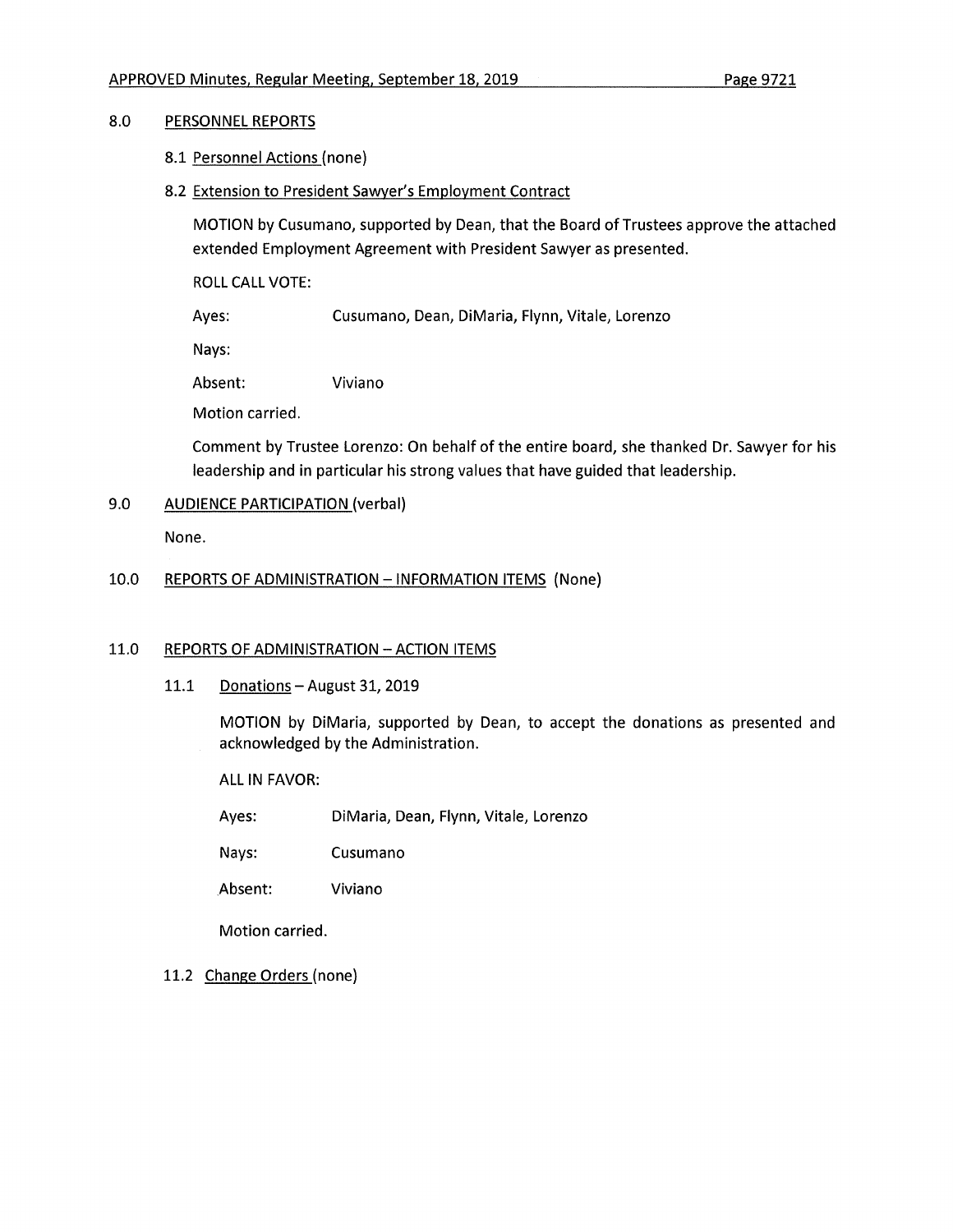# 8.0 PERSONNEL REPORTS

- 8.1 Personnel Actions (none)
- 8.2 Extension to President Sawyer's Employment Contract

MOTION by Cusumano, supported by Dean, that the Board of Trustees approve the attached extended Employment Agreement with President Sawyer as presented.

ROLL CALL VOTE:

Ayes: Cusumano, Dean, DiMaria, Flynn, Vitale, Lorenzo

Nays:

Absent: Viviano

Motion carried.

Comment by Trustee Lorenzo: On behalf of the entire board, she thanked Dr. Sawyer for his leadership and in particular his strong values that have guided that leadership.

## 9.0 AUDIENCE PARTICIPATION (verbal)

None.

## 10.0 REPORTS OF ADMINISTRATION - INFORMATION ITEMS (None)

## 11.0 REPORTS OF ADMINISTRATION - ACTION ITEMS

11.1 Donations - August 31, 2019

MOTION by DiMaria, supported by Dean, to accept the donations as presented and acknowledged by the Administration.

ALL IN FAVOR:

Ayes: DiMaria, Dean, Flynn, Vitale, Lorenzo

Nays: Cusumano

Absent: Viviano

Motion carried.

11.2 Change Orders (none)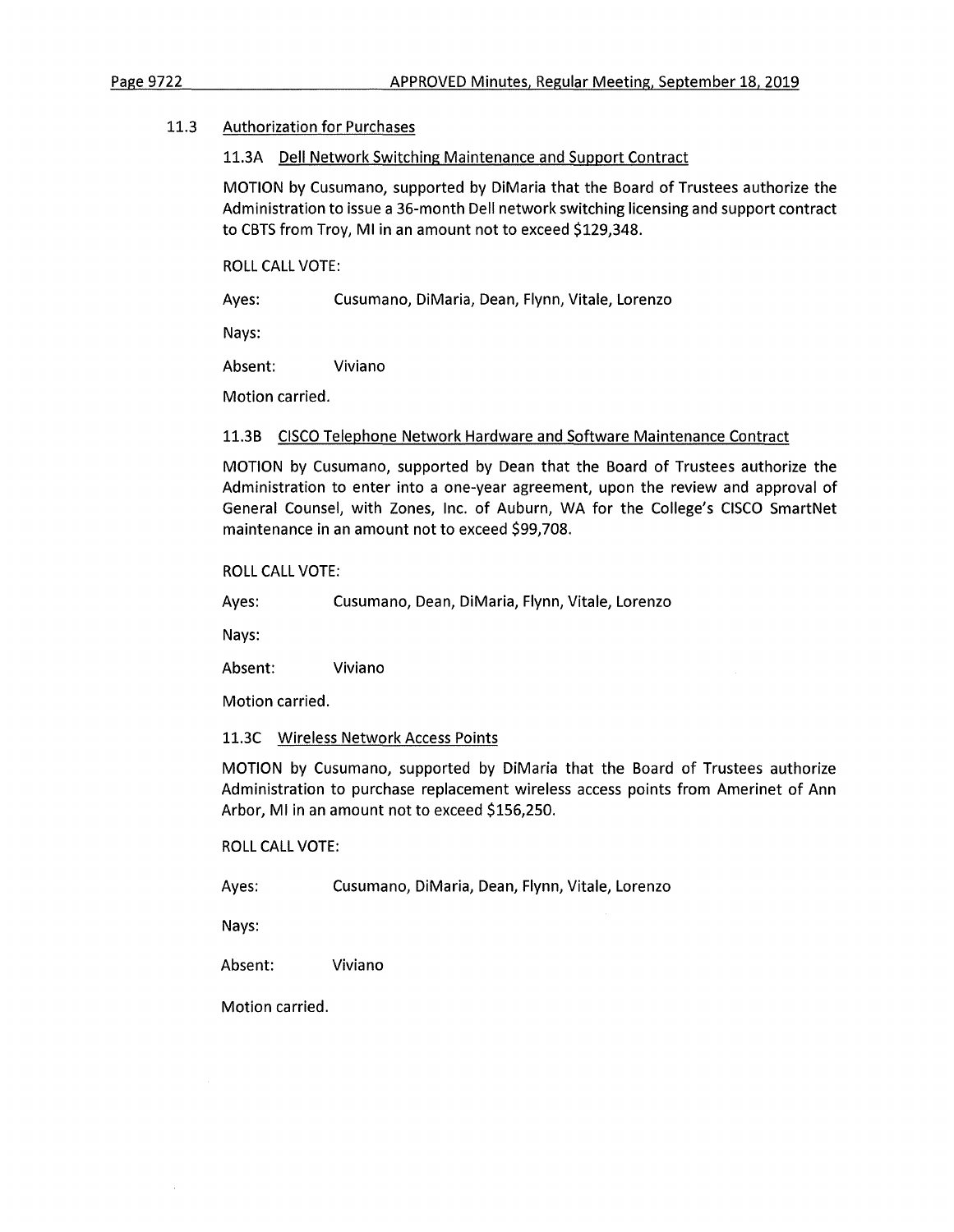### 11.3 Authorization for Purchases

#### 11.3A Dell Network Switching Maintenance and Support Contract

MOTION by Cusumano, supported by DiMaria that the Board of Trustees authorize the Administration to issue a 36-month Dell network switching licensing and support contract to CBTS from Troy, Ml in an amount not to exceed \$129,348.

ROLL CALL VOTE:

Ayes: Cusumano, DiMaria, Dean, Flynn, Vitale, Lorenzo

Nays:

Absent: Viviano

Motion carried.

### 11.3B CISCO Telephone Network Hardware and Software Maintenance Contract

MOTION by Cusumano, supported by Dean that the Board of Trustees authorize the Administration to enter into a one-year agreement, upon the review and approval of General Counsel, with Zones, Inc. of Auburn, WA for the College's CISCO SmartNet maintenance in an amount not to exceed \$99,708.

### ROLL CALL VOTE:

Ayes: Cusumano, Dean, DiMaria, Flynn, Vitale, Lorenzo

Nays:

Absent: Viviano

Motion carried.

### 11.3C Wireless Network Access Points

MOTION by Cusumano, supported by DiMaria that the Board of Trustees authorize Administration to purchase replacement wireless access points from Amerinet of Ann Arbor, Ml in an amount not to exceed \$156,250.

### ROLL CALL VOTE:

Ayes: Cusumano, DiMaria, Dean, Flynn, Vitale, Lorenzo

Nays:

Absent: Viviano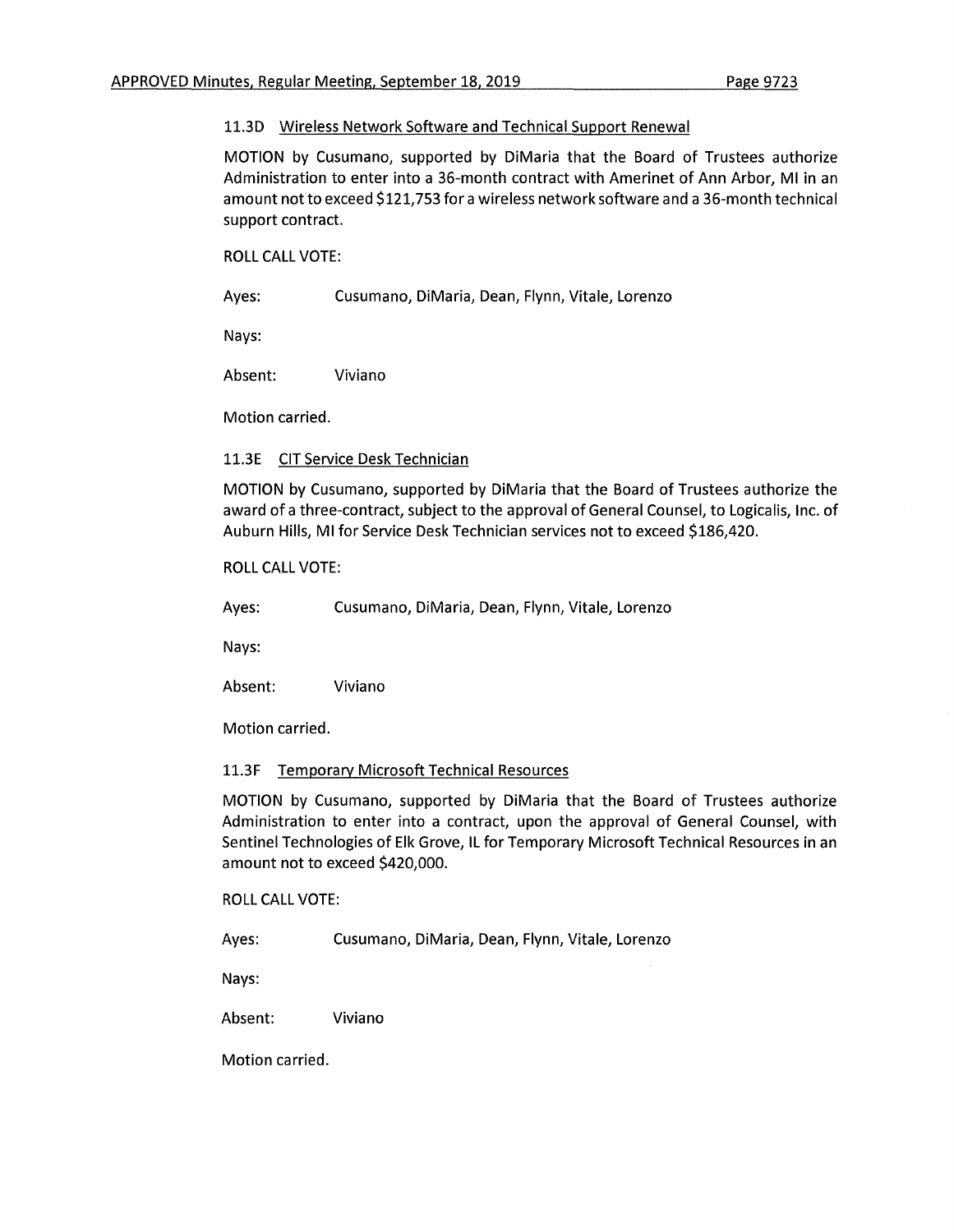## 11.3D Wireless Network Software and Technical Support Renewal

MOTION by Cusumano, supported by DiMaria that the Board of Trustees authorize Administration to enter into a 36-month contract with Amerinet of Ann Arbor, Ml in an amount not to exceed \$121,753 for a wireless network software and a 36-month technical support contract.

ROLL CALL VOTE:

Ayes: Cusumano, DiMaria, Dean, Flynn, Vitale, Lorenzo

Nays:

Absent: Viviano

Motion carried.

11.3E CIT Service Desk Technician

MOTION by Cusumano, supported by DiMaria that the Board of Trustees authorize the award of a three-contract, subject to the approval of General Counsel, to Logicalis, Inc. of Auburn Hills, Ml for Service Desk Technician services not to exceed \$186,420.

### ROLL CALL VOTE:

Ayes: Cusumano, DiMaria, Dean, Flynn, Vitale, Lorenzo

Nays:

Absent: Viviano

Motion carried.

### 11.3F Temporary Microsoft Technical Resources

MOTION by Cusumano, supported by DiMaria that the Board of Trustees authorize Administration to enter into a contract, upon the approval of General Counsel, with Sentinel Technologies of Elk Grove, IL for Temporary Microsoft Technical Resources in an amount not to exceed \$420,000.

ROLL CALL VOTE:

Ayes: Cusumano, DiMaria, Dean, Flynn, Vitale, Lorenzo

Nays:

Absent: Viviano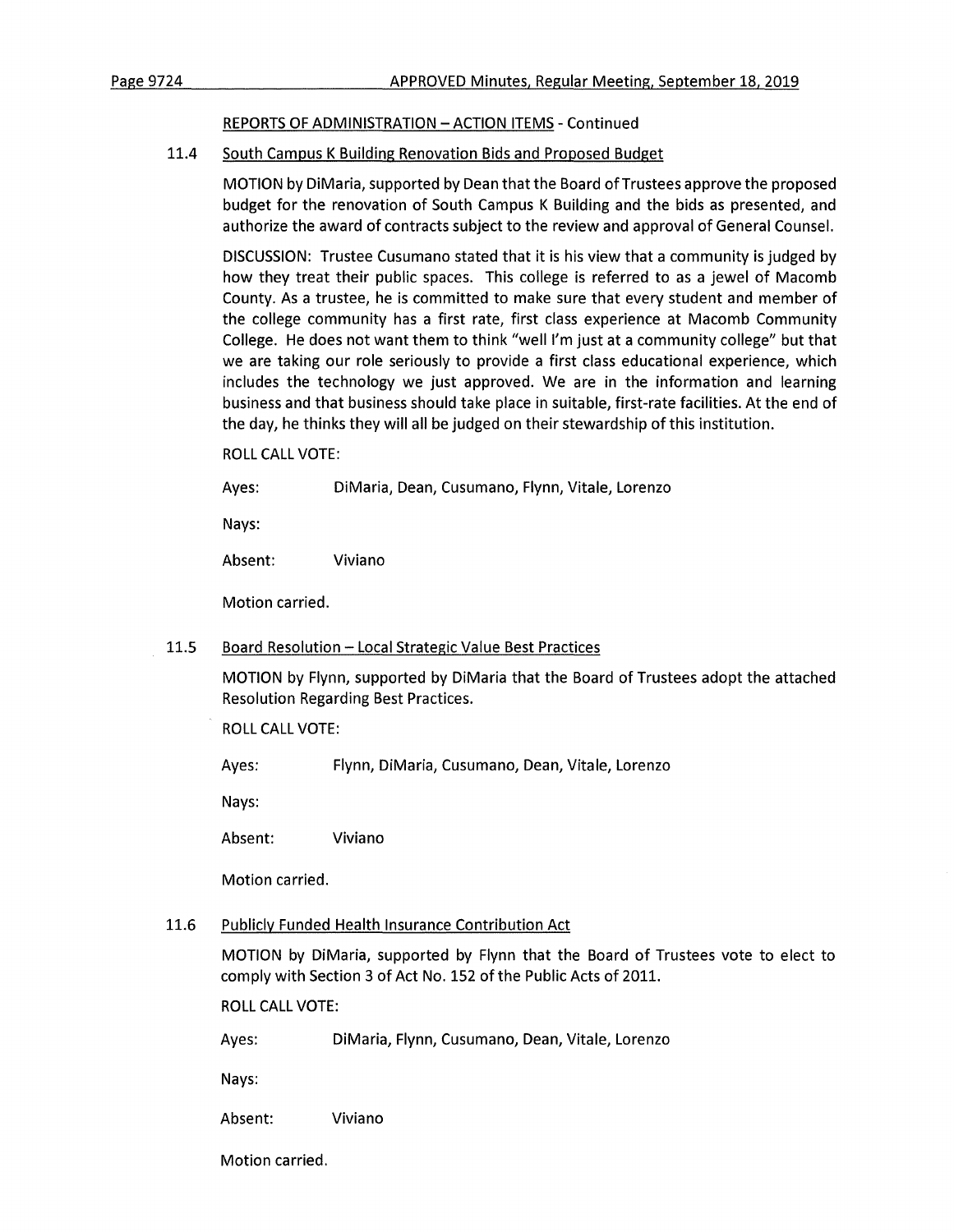## REPORTS OF ADMINISTRATION - ACTION ITEMS - Continued

# 11.4 South Campus K Building Renovation Bids and Proposed Budget

MOTION by DiMaria, supported by Dean that the Board of Trustees approve the proposed budget for the renovation of South Campus K Building and the bids as presented, and authorize the award of contracts subject to the review and approval of General Counsel.

DISCUSSION: Trustee Cusumano stated that it is his view that a community is judged by how they treat their public spaces. This college is referred to as a jewel of Macomb County. As a trustee, he is committed to make sure that every student and member of the college community has a first rate, first class experience at Macomb Community College. He does not want them to think "well I'm just at a community college" but that we are taking our role seriously to provide a first class educational experience, which includes the technology we just approved. We are in the information and learning business and that business should take place in suitable, first-rate facilities. At the end of the day, he thinks they will all be judged on their stewardship of this institution.

ROLL CALL VOTE:

Ayes: DiMaria, Dean, Cusumano, Flynn, Vitale, Lorenzo

Nays:

Absent: Viviano

Motion carried.

## 11.5 Board Resolution - Local Strategic Value Best Practices

MOTION by Flynn, supported by DiMaria that the Board of Trustees adopt the attached Resolution Regarding Best Practices.

ROLL CALL VOTE:

Ayes: Flynn, DiMaria, Cusumano, Dean, Vitale, Lorenzo

Nays:

Absent: Viviano

Motion carried.

## 11.6 Publicly Funded Health Insurance Contribution Act

MOTION by DiMaria, supported by Flynn that the Board of Trustees vote to elect to comply with Section 3 of Act No. 152 of the Public Acts of 2011.

ROLL CALL VOTE:

Ayes: DiMaria, Flynn, Cusumano, Dean, Vitale, Lorenzo

Nays:

Absent: Viviano